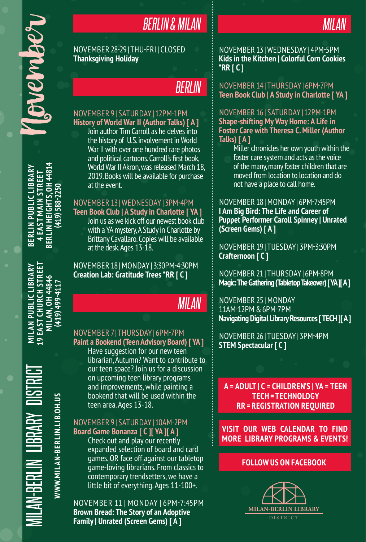**BERLIN PUBLIC LIBRARY 4 EAST MAIN STREET BERLIN HEIGHTS, OH 44814 (419) 588-2250**

**SERLIN PUBLIC LIBRARY 4 EAST MAIN STREET**  **BERLIN HEIGHTS, OH 44814** 

 $(419)$  588-2250

# *BERLIN & MILAN*

NOVEMBER 28-29 | THU-FRI | CLOSED **Thanksgiving Holiday**

# *BERLIN*

#### NOVEMBER 9 | SATURDAY | 12PM-1PM **History of World War II (Author Talks) [ A ]**

Join author Tim Carroll as he delves into the history of U.S. involvement in World War II with over one hundred rare photos and political cartoons. Carroll's first book. World War II Akron, was released March 18, 2019. Books will be available for purchase at the event.

### NOVEMBER 13 | WEDNESDAY | 3PM-4PM

**Teen Book Club | A Study in Charlotte [ YA ]** Join us as we kick off our newest book club with a YA mystery, A Study in Charlotte by Brittany Cavallaro. Copies will be available at the desk. Ages 13-18.

NOVEMBER 18 | MONDAY | 3:30PM-4:30PM **Creation Lab: Gratitude Trees \*RR [ C ]**

# *MILAN*

### NOVEMBER 7 | THURSDAY | 6PM-7PM

**Paint a Bookend (Teen Advisory Board) [ YA ]** Have suggestion for our new teen librarian, Autumn? Want to contribute to our teen space? Join us for a discussion on upcoming teen library programs and improvements, while painting a bookend that will be used within the teen area. Ages 13-18.

#### NOVEMBER 9 | SATURDAY | 10AM-2PM **Board Game Bonanza [ C ][ YA ][ A ]**

Check out and play our recently expanded selection of board and card games. OR face off against our tabletop game-loving librarians. From classics to contemporary trendsetters, we have a little bit of everything. Ages 11-100+.

NOVEMBER 11 | MONDAY | 6PM-7:45PM **Brown Bread: The Story of an Adoptive Family | Unrated (Screen Gems) [ A ]**

### NOVEMBER 13 | WEDNESDAY | 4PM-5PM **Kids in the Kitchen | Colorful Corn Cookies \*RR [ C ]**

*MILAN MILAN*

NOVEMBER 14 | THURSDAY | 6PM-7PM **Teen Book Club | A Study in Charlotte [ YA ]**

NOVEMBER 16 | SATURDAY | 12PM-1PM **Shape-shifting My Way Home: A Life in Foster Care with Theresa C. Miller (Author Talks) [ A ]**

Miller chronicles her own youth within the foster care system and acts as the voice of the many, many foster children that are moved from location to location and do not have a place to call home.

#### NOVEMBER 18 | MONDAY | 6PM-7:45PM **I Am Big Bird: The Life and Career of Puppet Performer Caroll Spinney | Unrated (Screen Gems) [ A ]**

NOVEMBER 19 | TUESDAY | 3PM-3:30PM **Crafternoon [ C ]**

NOVEMBER 21 | THURSDAY | 6PM-8PM **Magic: The Gathering (Tabletop Takeover) [ YA ][ A ]**

NOVEMBER 25 | MONDAY 11AM-12PM & 6PM-7PM **Navigating Digital Library Resources [ TECH ][ A ]**

NOVEMBER 26 | TUESDAY | 3PM-4PM **STEM Spectacular [ C ]**

**A = ADULT | C = CHILDREN'S | YA = TEEN TECH = TECHNOLOGY RR = REGISTRATION REQUIRED**

**VISIT OUR WEB CALENDAR TO FIND MORE LIBRARY PROGRAMS & EVENTS!**

## **FOLLOW US ON FACEBOOK**



**L9 EAST CHURCH STREET MILAN PUBLIC LIBRARY MILAN, 0H44846** 1114-664 (614) **(419) 499-4117**

MILAN-BERLIN LIBRARY DISTRICT **MILAN PUBLIC LIBRARY 19 EAST CHURCH STREET MILAN, OH 44846 NWW.MILAN-BERLIN.LIB.OH.US WWW.MILAN-BERLIN.LIB.OH.US** LIBRARY N-BERLIN 1